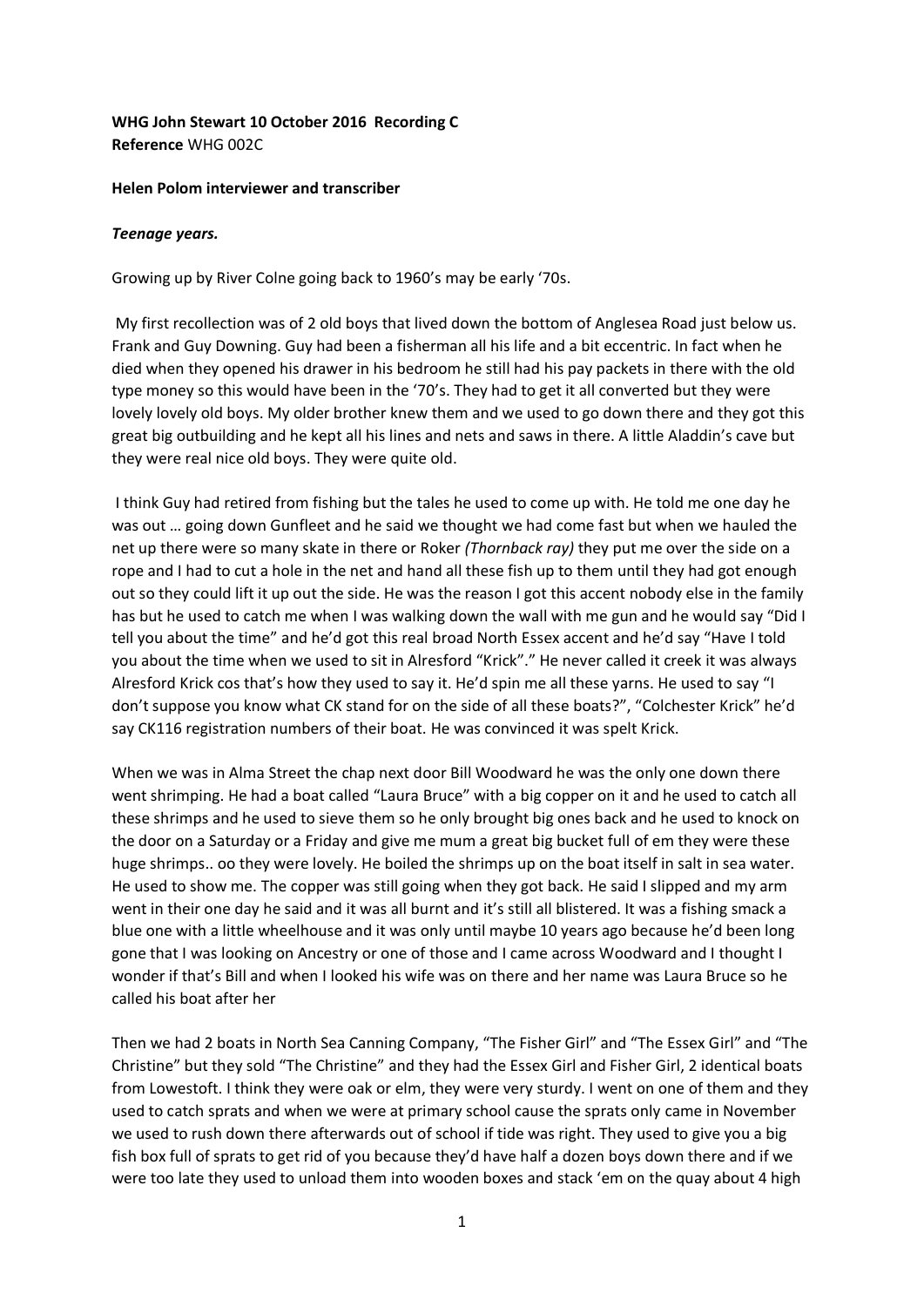## **WHG John Stewart 10 October 2016 Recording C Reference** WHG 002C

## **Helen Polom interviewer and transcriber**

## *Teenage years.*

Growing up by River Colne going back to 1960's may be early '70s.

My first recollection was of 2 old boys that lived down the bottom of Anglesea Road just below us. Frank and Guy Downing. Guy had been a fisherman all his life and a bit eccentric. In fact when he died when they opened his drawer in his bedroom he still had his pay packets in there with the old type money so this would have been in the '70's. They had to get it all converted but they were lovely lovely old boys. My older brother knew them and we used to go down there and they got this great big outbuilding and he kept all his lines and nets and saws in there. A little Aladdin's cave but they were real nice old boys. They were quite old.

I think Guy had retired from fishing but the tales he used to come up with. He told me one day he was out … going down Gunfleet and he said we thought we had come fast but when we hauled the net up there were so many skate in there or Roker *(Thornback ray)* they put me over the side on a rope and I had to cut a hole in the net and hand all these fish up to them until they had got enough out so they could lift it up out the side. He was the reason I got this accent nobody else in the family has but he used to catch me when I was walking down the wall with me gun and he would say "Did I tell you about the time" and he'd got this real broad North Essex accent and he'd say "Have I told you about the time when we used to sit in Alresford "Krick"." He never called it creek it was always Alresford Krick cos that's how they used to say it. He'd spin me all these yarns. He used to say "I don't suppose you know what CK stand for on the side of all these boats?", "Colchester Krick" he'd say CK116 registration numbers of their boat. He was convinced it was spelt Krick.

When we was in Alma Street the chap next door Bill Woodward he was the only one down there went shrimping. He had a boat called "Laura Bruce" with a big copper on it and he used to catch all these shrimps and he used to sieve them so he only brought big ones back and he used to knock on the door on a Saturday or a Friday and give me mum a great big bucket full of em they were these huge shrimps.. oo they were lovely. He boiled the shrimps up on the boat itself in salt in sea water. He used to show me. The copper was still going when they got back. He said I slipped and my arm went in their one day he said and it was all burnt and it's still all blistered. It was a fishing smack a blue one with a little wheelhouse and it was only until maybe 10 years ago because he'd been long gone that I was looking on Ancestry or one of those and I came across Woodward and I thought I wonder if that's Bill and when I looked his wife was on there and her name was Laura Bruce so he called his boat after her

Then we had 2 boats in North Sea Canning Company, "The Fisher Girl" and "The Essex Girl" and "The Christine" but they sold "The Christine" and they had the Essex Girl and Fisher Girl, 2 identical boats from Lowestoft. I think they were oak or elm, they were very sturdy. I went on one of them and they used to catch sprats and when we were at primary school cause the sprats only came in November we used to rush down there afterwards out of school if tide was right. They used to give you a big fish box full of sprats to get rid of you because they'd have half a dozen boys down there and if we were too late they used to unload them into wooden boxes and stack 'em on the quay about 4 high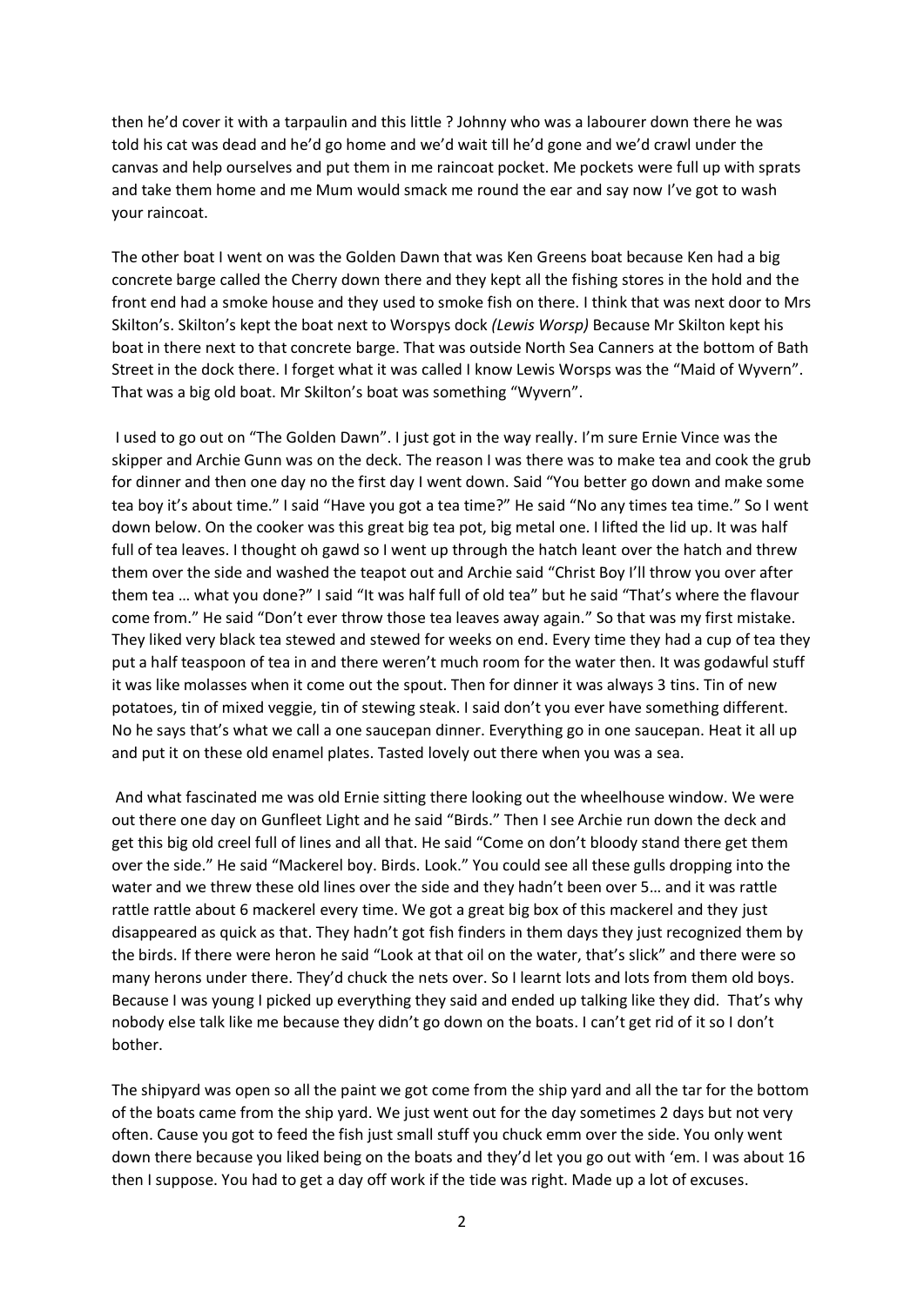then he'd cover it with a tarpaulin and this little ? Johnny who was a labourer down there he was told his cat was dead and he'd go home and we'd wait till he'd gone and we'd crawl under the canvas and help ourselves and put them in me raincoat pocket. Me pockets were full up with sprats and take them home and me Mum would smack me round the ear and say now I've got to wash your raincoat.

The other boat I went on was the Golden Dawn that was Ken Greens boat because Ken had a big concrete barge called the Cherry down there and they kept all the fishing stores in the hold and the front end had a smoke house and they used to smoke fish on there. I think that was next door to Mrs Skilton's. Skilton's kept the boat next to Worspys dock *(Lewis Worsp)* Because Mr Skilton kept his boat in there next to that concrete barge. That was outside North Sea Canners at the bottom of Bath Street in the dock there. I forget what it was called I know Lewis Worsps was the "Maid of Wyvern". That was a big old boat. Mr Skilton's boat was something "Wyvern".

I used to go out on "The Golden Dawn". I just got in the way really. I'm sure Ernie Vince was the skipper and Archie Gunn was on the deck. The reason I was there was to make tea and cook the grub for dinner and then one day no the first day I went down. Said "You better go down and make some tea boy it's about time." I said "Have you got a tea time?" He said "No any times tea time." So I went down below. On the cooker was this great big tea pot, big metal one. I lifted the lid up. It was half full of tea leaves. I thought oh gawd so I went up through the hatch leant over the hatch and threw them over the side and washed the teapot out and Archie said "Christ Boy I'll throw you over after them tea … what you done?" I said "It was half full of old tea" but he said "That's where the flavour come from." He said "Don't ever throw those tea leaves away again." So that was my first mistake. They liked very black tea stewed and stewed for weeks on end. Every time they had a cup of tea they put a half teaspoon of tea in and there weren't much room for the water then. It was godawful stuff it was like molasses when it come out the spout. Then for dinner it was always 3 tins. Tin of new potatoes, tin of mixed veggie, tin of stewing steak. I said don't you ever have something different. No he says that's what we call a one saucepan dinner. Everything go in one saucepan. Heat it all up and put it on these old enamel plates. Tasted lovely out there when you was a sea.

And what fascinated me was old Ernie sitting there looking out the wheelhouse window. We were out there one day on Gunfleet Light and he said "Birds." Then I see Archie run down the deck and get this big old creel full of lines and all that. He said "Come on don't bloody stand there get them over the side." He said "Mackerel boy. Birds. Look." You could see all these gulls dropping into the water and we threw these old lines over the side and they hadn't been over 5… and it was rattle rattle rattle about 6 mackerel every time. We got a great big box of this mackerel and they just disappeared as quick as that. They hadn't got fish finders in them days they just recognized them by the birds. If there were heron he said "Look at that oil on the water, that's slick" and there were so many herons under there. They'd chuck the nets over. So I learnt lots and lots from them old boys. Because I was young I picked up everything they said and ended up talking like they did. That's why nobody else talk like me because they didn't go down on the boats. I can't get rid of it so I don't bother.

The shipyard was open so all the paint we got come from the ship yard and all the tar for the bottom of the boats came from the ship yard. We just went out for the day sometimes 2 days but not very often. Cause you got to feed the fish just small stuff you chuck emm over the side. You only went down there because you liked being on the boats and they'd let you go out with 'em. I was about 16 then I suppose. You had to get a day off work if the tide was right. Made up a lot of excuses.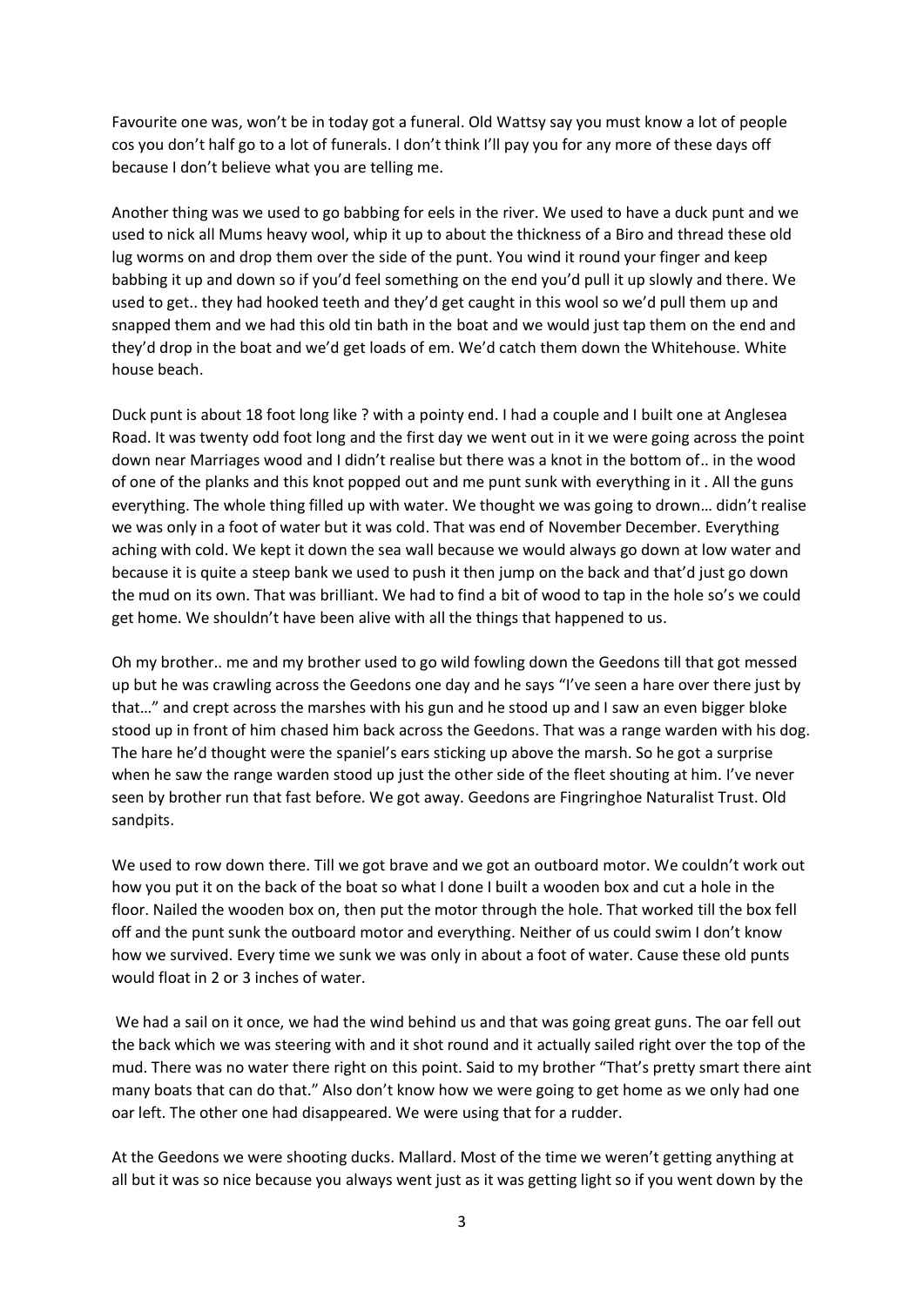Favourite one was, won't be in today got a funeral. Old Wattsy say you must know a lot of people cos you don't half go to a lot of funerals. I don't think I'll pay you for any more of these days off because I don't believe what you are telling me.

Another thing was we used to go babbing for eels in the river. We used to have a duck punt and we used to nick all Mums heavy wool, whip it up to about the thickness of a Biro and thread these old lug worms on and drop them over the side of the punt. You wind it round your finger and keep babbing it up and down so if you'd feel something on the end you'd pull it up slowly and there. We used to get.. they had hooked teeth and they'd get caught in this wool so we'd pull them up and snapped them and we had this old tin bath in the boat and we would just tap them on the end and they'd drop in the boat and we'd get loads of em. We'd catch them down the Whitehouse. White house beach.

Duck punt is about 18 foot long like ? with a pointy end. I had a couple and I built one at Anglesea Road. It was twenty odd foot long and the first day we went out in it we were going across the point down near Marriages wood and I didn't realise but there was a knot in the bottom of.. in the wood of one of the planks and this knot popped out and me punt sunk with everything in it . All the guns everything. The whole thing filled up with water. We thought we was going to drown… didn't realise we was only in a foot of water but it was cold. That was end of November December. Everything aching with cold. We kept it down the sea wall because we would always go down at low water and because it is quite a steep bank we used to push it then jump on the back and that'd just go down the mud on its own. That was brilliant. We had to find a bit of wood to tap in the hole so's we could get home. We shouldn't have been alive with all the things that happened to us.

Oh my brother.. me and my brother used to go wild fowling down the Geedons till that got messed up but he was crawling across the Geedons one day and he says "I've seen a hare over there just by that…" and crept across the marshes with his gun and he stood up and I saw an even bigger bloke stood up in front of him chased him back across the Geedons. That was a range warden with his dog. The hare he'd thought were the spaniel's ears sticking up above the marsh. So he got a surprise when he saw the range warden stood up just the other side of the fleet shouting at him. I've never seen by brother run that fast before. We got away. Geedons are Fingringhoe Naturalist Trust. Old sandpits.

We used to row down there. Till we got brave and we got an outboard motor. We couldn't work out how you put it on the back of the boat so what I done I built a wooden box and cut a hole in the floor. Nailed the wooden box on, then put the motor through the hole. That worked till the box fell off and the punt sunk the outboard motor and everything. Neither of us could swim I don't know how we survived. Every time we sunk we was only in about a foot of water. Cause these old punts would float in 2 or 3 inches of water.

We had a sail on it once, we had the wind behind us and that was going great guns. The oar fell out the back which we was steering with and it shot round and it actually sailed right over the top of the mud. There was no water there right on this point. Said to my brother "That's pretty smart there aint many boats that can do that." Also don't know how we were going to get home as we only had one oar left. The other one had disappeared. We were using that for a rudder.

At the Geedons we were shooting ducks. Mallard. Most of the time we weren't getting anything at all but it was so nice because you always went just as it was getting light so if you went down by the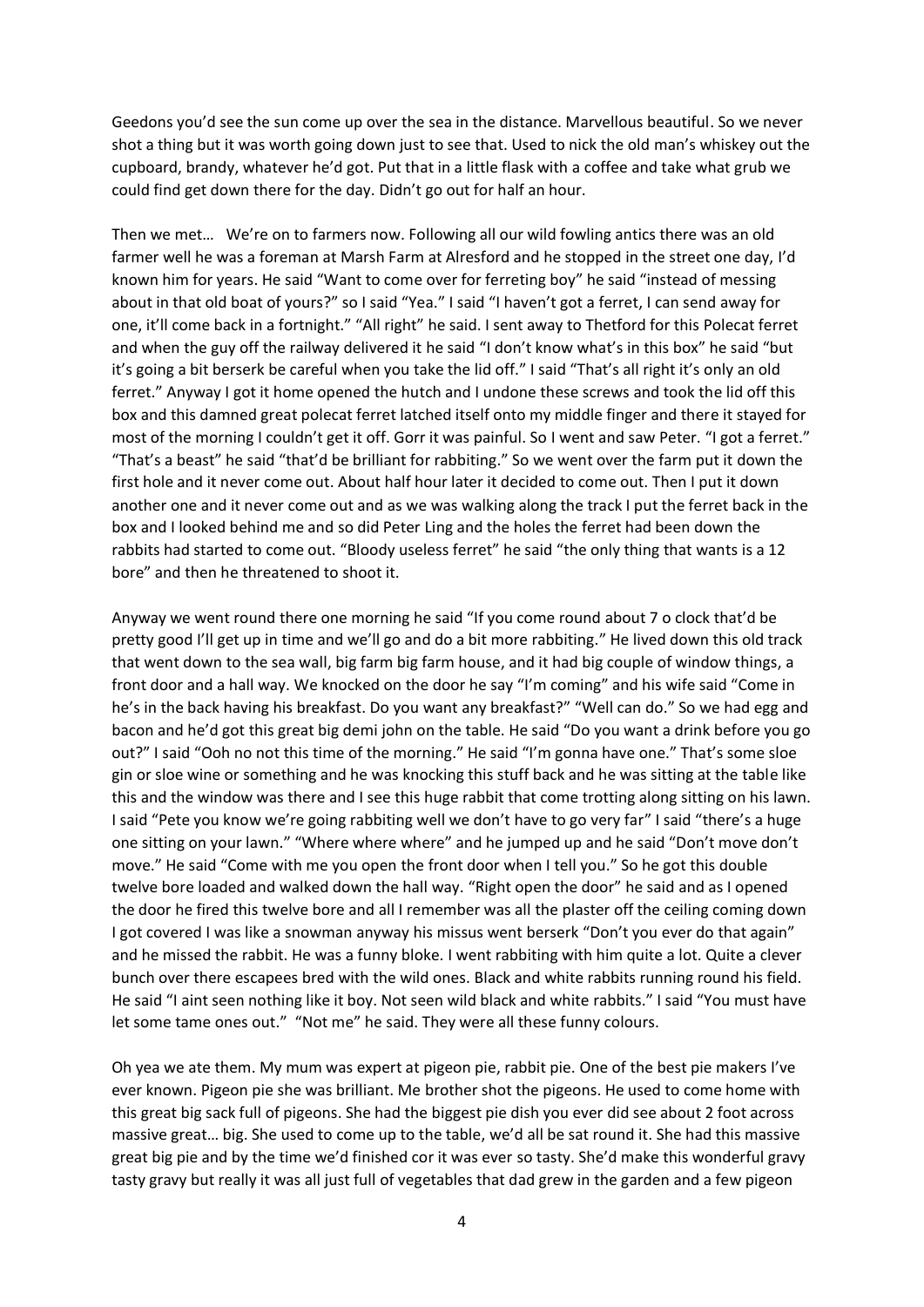Geedons you'd see the sun come up over the sea in the distance. Marvellous beautiful. So we never shot a thing but it was worth going down just to see that. Used to nick the old man's whiskey out the cupboard, brandy, whatever he'd got. Put that in a little flask with a coffee and take what grub we could find get down there for the day. Didn't go out for half an hour.

Then we met… We're on to farmers now. Following all our wild fowling antics there was an old farmer well he was a foreman at Marsh Farm at Alresford and he stopped in the street one day, I'd known him for years. He said "Want to come over for ferreting boy" he said "instead of messing about in that old boat of yours?" so I said "Yea." I said "I haven't got a ferret, I can send away for one, it'll come back in a fortnight." "All right" he said. I sent away to Thetford for this Polecat ferret and when the guy off the railway delivered it he said "I don't know what's in this box" he said "but it's going a bit berserk be careful when you take the lid off." I said "That's all right it's only an old ferret." Anyway I got it home opened the hutch and I undone these screws and took the lid off this box and this damned great polecat ferret latched itself onto my middle finger and there it stayed for most of the morning I couldn't get it off. Gorr it was painful. So I went and saw Peter. "I got a ferret." "That's a beast" he said "that'd be brilliant for rabbiting." So we went over the farm put it down the first hole and it never come out. About half hour later it decided to come out. Then I put it down another one and it never come out and as we was walking along the track I put the ferret back in the box and I looked behind me and so did Peter Ling and the holes the ferret had been down the rabbits had started to come out. "Bloody useless ferret" he said "the only thing that wants is a 12 bore" and then he threatened to shoot it.

Anyway we went round there one morning he said "If you come round about 7 o clock that'd be pretty good I'll get up in time and we'll go and do a bit more rabbiting." He lived down this old track that went down to the sea wall, big farm big farm house, and it had big couple of window things, a front door and a hall way. We knocked on the door he say "I'm coming" and his wife said "Come in he's in the back having his breakfast. Do you want any breakfast?" "Well can do." So we had egg and bacon and he'd got this great big demi john on the table. He said "Do you want a drink before you go out?" I said "Ooh no not this time of the morning." He said "I'm gonna have one." That's some sloe gin or sloe wine or something and he was knocking this stuff back and he was sitting at the table like this and the window was there and I see this huge rabbit that come trotting along sitting on his lawn. I said "Pete you know we're going rabbiting well we don't have to go very far" I said "there's a huge one sitting on your lawn." "Where where where" and he jumped up and he said "Don't move don't move." He said "Come with me you open the front door when I tell you." So he got this double twelve bore loaded and walked down the hall way. "Right open the door" he said and as I opened the door he fired this twelve bore and all I remember was all the plaster off the ceiling coming down I got covered I was like a snowman anyway his missus went berserk "Don't you ever do that again" and he missed the rabbit. He was a funny bloke. I went rabbiting with him quite a lot. Quite a clever bunch over there escapees bred with the wild ones. Black and white rabbits running round his field. He said "I aint seen nothing like it boy. Not seen wild black and white rabbits." I said "You must have let some tame ones out." "Not me" he said. They were all these funny colours.

Oh yea we ate them. My mum was expert at pigeon pie, rabbit pie. One of the best pie makers I've ever known. Pigeon pie she was brilliant. Me brother shot the pigeons. He used to come home with this great big sack full of pigeons. She had the biggest pie dish you ever did see about 2 foot across massive great… big. She used to come up to the table, we'd all be sat round it. She had this massive great big pie and by the time we'd finished cor it was ever so tasty. She'd make this wonderful gravy tasty gravy but really it was all just full of vegetables that dad grew in the garden and a few pigeon